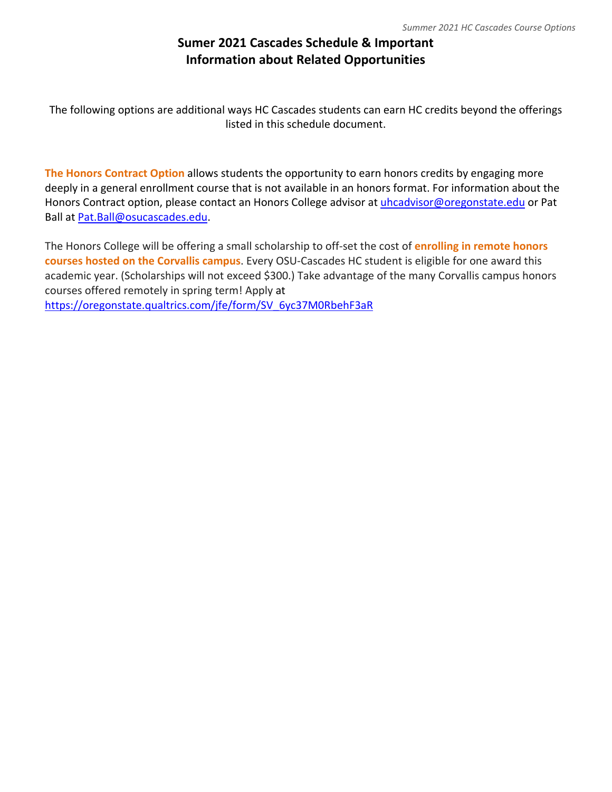## **Sumer 2021 Cascades Schedule & Important Information about Related Opportunities**

The following options are additional ways HC Cascades students can earn HC credits beyond the offerings listed in this schedule document.

**The Honors Contract Option** allows students the opportunity to earn honors credits by engaging more deeply in a general enrollment course that is not available in an honors format. For information about the Honors Contract option, please contact an Honors College advisor at [uhcadvisor@oregonstate.edu](mailto:uhcadvisor@oregonstate.edu) or Pat Ball at [Pat.Ball@osucascades.edu.](mailto:Pat.Ball@osucascades.edu)

The Honors College will be offering a small scholarship to off-set the cost of **enrolling in remote honors courses hosted on the Corvallis campus**. Every OSU-Cascades HC student is eligible for one award this academic year. (Scholarships will not exceed \$300.) Take advantage of the many Corvallis campus honors courses offered remotely in spring term! Apply at [https://oregonstate.qualtrics.com/jfe/form/SV\\_6yc37M0RbehF3aR](https://oregonstate.qualtrics.com/jfe/form/SV_6yc37M0RbehF3aR)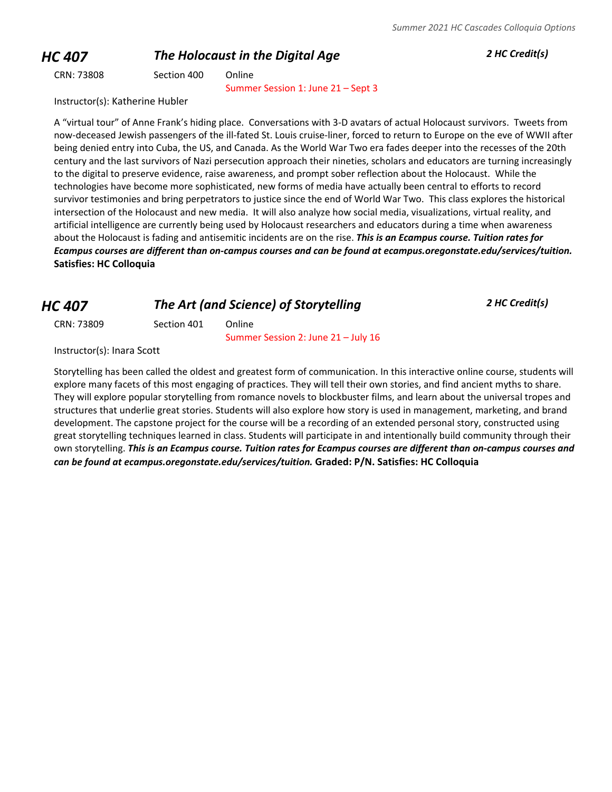## *HC 407 The Holocaust in the Digital Age 2 HC Credit(s)*

CRN: 73808 Section 400 Online

Summer Session 1: June 21 – Sept 3

Instructor(s): Katherine Hubler

A "virtual tour" of Anne Frank's hiding place. Conversations with 3-D avatars of actual Holocaust survivors. Tweets from now-deceased Jewish passengers of the ill-fated St. Louis cruise-liner, forced to return to Europe on the eve of WWII after being denied entry into Cuba, the US, and Canada. As the World War Two era fades deeper into the recesses of the 20th century and the last survivors of Nazi persecution approach their nineties, scholars and educators are turning increasingly to the digital to preserve evidence, raise awareness, and prompt sober reflection about the Holocaust. While the technologies have become more sophisticated, new forms of media have actually been central to efforts to record survivor testimonies and bring perpetrators to justice since the end of World War Two. This class explores the historical intersection of the Holocaust and new media. It will also analyze how social media, visualizations, virtual reality, and artificial intelligence are currently being used by Holocaust researchers and educators during a time when awareness about the Holocaust is fading and antisemitic incidents are on the rise. *This is an Ecampus course. Tuition rates for Ecampus courses are different than on-campus courses and can be found at ecampus.oregonstate.edu/services/tuition.* **Satisfies: HC Colloquia**

## *HC 407 The Art (and Science) of Storytelling 2 HC Credit(s)*

CRN: 73809 Section 401 Online

Summer Session 2: June 21 – July 16

Instructor(s): Inara Scott

Storytelling has been called the oldest and greatest form of communication. In this interactive online course, students will explore many facets of this most engaging of practices. They will tell their own stories, and find ancient myths to share. They will explore popular storytelling from romance novels to blockbuster films, and learn about the universal tropes and structures that underlie great stories. Students will also explore how story is used in management, marketing, and brand development. The capstone project for the course will be a recording of an extended personal story, constructed using great storytelling techniques learned in class. Students will participate in and intentionally build community through their own storytelling. *This is an Ecampus course. Tuition rates for Ecampus courses are different than on-campus courses and can be found at ecampus.oregonstate.edu/services/tuition.* **Graded: P/N. Satisfies: HC Colloquia**